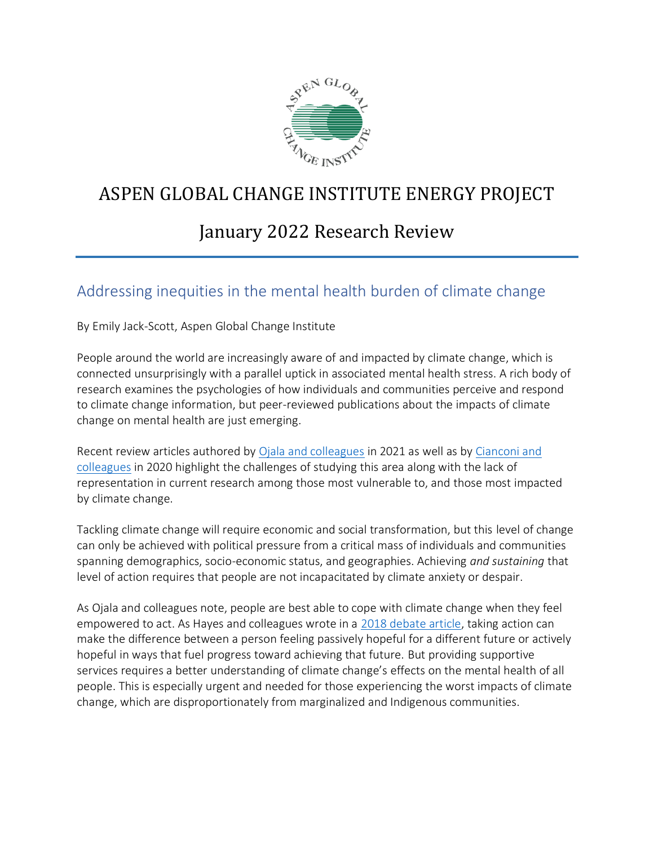

# ASPEN GLOBAL CHANGE INSTITUTE ENERGY PROJECT

# January 2022 Research Review

### Addressing inequities in the mental health burden of climate change

By Emily Jack-Scott, Aspen Global Change Institute

People around the world are increasingly aware of and impacted by climate change, which is connected unsurprisingly with a parallel uptick in associated mental health stress. A rich body of research examines the psychologies of how individuals and communities perceive and respond to climate change information, but peer-reviewed publications about the impacts of climate change on mental health are just emerging.

Recent review articles authored by [Ojala and colleagues](https://www.annualreviews.org/doi/pdf/10.1146/annurev-environ-012220-022716) in 2021 as well as by [Cianconi and](https://www.frontiersin.org/articles/10.3389/fpsyt.2020.00074/full)  [colleagues](https://www.frontiersin.org/articles/10.3389/fpsyt.2020.00074/full) in 2020 highlight the challenges of studying this area along with the lack of representation in current research among those most vulnerable to, and those most impacted by climate change.

Tackling climate change will require economic and social transformation, but this level of change can only be achieved with political pressure from a critical mass of individuals and communities spanning demographics, socio-economic status, and geographies. Achieving *and sustaining* that level of action requires that people are not incapacitated by climate anxiety or despair.

As Ojala and colleagues note, people are best able to cope with climate change when they feel empowered to act. As Hayes and colleagues wrote in a [2018 debate article,](https://ijmhs.biomedcentral.com/articles/10.1186/s13033-018-0210-6) taking action can make the difference between a person feeling passively hopeful for a different future or actively hopeful in ways that fuel progress toward achieving that future. But providing supportive services requires a better understanding of climate change's effects on the mental health of all people. This is especially urgent and needed for those experiencing the worst impacts of climate change, which are disproportionately from marginalized and Indigenous communities.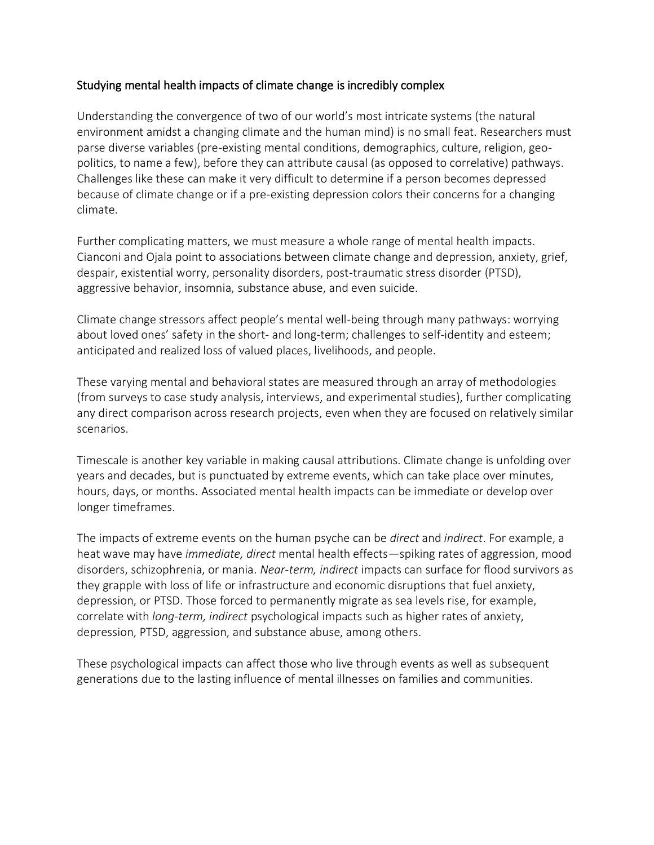#### Studying mental health impacts of climate change is incredibly complex

Understanding the convergence of two of our world's most intricate systems (the natural environment amidst a changing climate and the human mind) is no small feat. Researchers must parse diverse variables (pre-existing mental conditions, demographics, culture, religion, geopolitics, to name a few), before they can attribute causal (as opposed to correlative) pathways. Challenges like these can make it very difficult to determine if a person becomes depressed because of climate change or if a pre-existing depression colors their concerns for a changing climate.

Further complicating matters, we must measure a whole range of mental health impacts. Cianconi and Ojala point to associations between climate change and depression, anxiety, grief, despair, existential worry, personality disorders, post-traumatic stress disorder (PTSD), aggressive behavior, insomnia, substance abuse, and even suicide.

Climate change stressors affect people's mental well-being through many pathways: worrying about loved ones' safety in the short- and long-term; challenges to self-identity and esteem; anticipated and realized loss of valued places, livelihoods, and people.

These varying mental and behavioral states are measured through an array of methodologies (from surveys to case study analysis, interviews, and experimental studies), further complicating any direct comparison across research projects, even when they are focused on relatively similar scenarios.

Timescale is another key variable in making causal attributions. Climate change is unfolding over years and decades, but is punctuated by extreme events, which can take place over minutes, hours, days, or months. Associated mental health impacts can be immediate or develop over longer timeframes.

The impacts of extreme events on the human psyche can be *direct* and *indirect*. For example, a heat wave may have *immediate, direct* mental health effects—spiking rates of aggression, mood disorders, schizophrenia, or mania. *Near-term, indirect* impacts can surface for flood survivors as they grapple with loss of life or infrastructure and economic disruptions that fuel anxiety, depression, or PTSD. Those forced to permanently migrate as sea levels rise, for example, correlate with *long-term, indirect* psychological impacts such as higher rates of anxiety, depression, PTSD, aggression, and substance abuse, among others.

These psychological impacts can affect those who live through events as well as subsequent generations due to the lasting influence of mental illnesses on families and communities.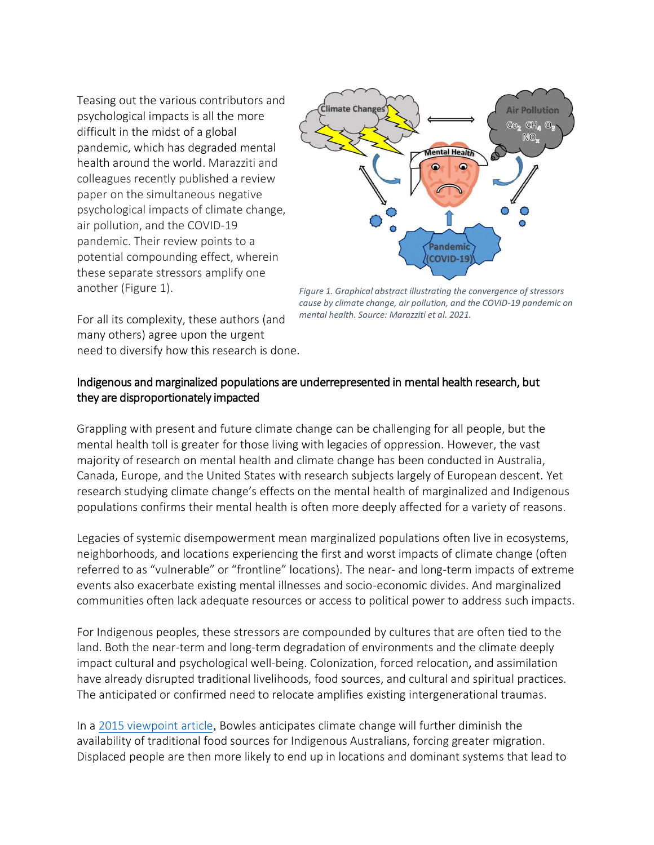Teasing out the various contributors and psychological impacts is all the more difficult in the midst of a global pandemic, which has degraded mental health around the world. Marazziti and colleagues recently published a review paper on the simultaneous negative psychological impacts of climate change, air pollution, and the COVID-19 pandemic. Their review points to a potential compounding effect, wherein these separate stressors amplify one another (Figure 1).



*Figure 1. Graphical abstract illustrating the convergence of stressors cause by climate change, air pollution, and the COVID-19 pandemic on mental health. Source: Marazziti et al. 2021.*

For all its complexity, these authors (and many others) agree upon the urgent need to diversify how this research is done.

#### Indigenous and marginalized populations are underrepresented in mental health research, but they are disproportionately impacted

Grappling with present and future climate change can be challenging for all people, but the mental health toll is greater for those living with legacies of oppression. However, the vast majority of research on mental health and climate change has been conducted in Australia, Canada, Europe, and the United States with research subjects largely of European descent. Yet research studying climate change's effects on the mental health of marginalized and Indigenous populations confirms their mental health is often more deeply affected for a variety of reasons.

Legacies of systemic disempowerment mean marginalized populations often live in ecosystems, neighborhoods, and locations experiencing the first and worst impacts of climate change (often referred to as "vulnerable" or "frontline" locations). The near- and long-term impacts of extreme events also exacerbate existing mental illnesses and socio-economic divides. And marginalized communities often lack adequate resources or access to political power to address such impacts.

For Indigenous peoples, these stressors are compounded by cultures that are often tied to the land. Both the near-term and long-term degradation of environments and the climate deeply impact cultural and psychological well-being. Colonization, forced relocation, and assimilation have already disrupted traditional livelihoods, food sources, and cultural and spiritual practices. The anticipated or confirmed need to relocate amplifies existing intergenerational traumas.

In a [2015 viewpoint article](https://www.annalsofglobalhealth.org/articles/10.1016/j.aogh.2015.06.004/galley/1520/download/), Bowles anticipates climate change will further diminish the availability of traditional food sources for Indigenous Australians, forcing greater migration. Displaced people are then more likely to end up in locations and dominant systems that lead to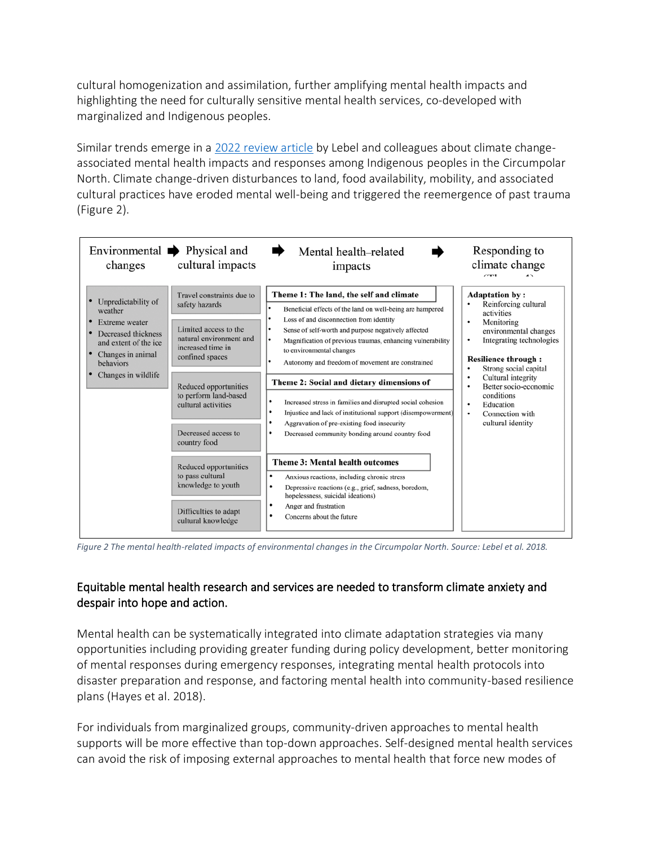cultural homogenization and assimilation, further amplifying mental health impacts and highlighting the need for culturally sensitive mental health services, co-developed with marginalized and Indigenous peoples.

Similar trends emerge in a 2022 [review article](https://journals.sagepub.com/doi/pdf/10.1177/13634615211066698) by Lebel and colleagues about climate changeassociated mental health impacts and responses among Indigenous peoples in the Circumpolar North. Climate change-driven disturbances to land, food availability, mobility, and associated cultural practices have eroded mental well-being and triggered the reemergence of past trauma (Figure 2).



*Figure 2 The mental health-related impacts of environmental changes in the Circumpolar North. Source: Lebel et al. 2018.*

### Equitable mental health research and services are needed to transform climate anxiety and despair into hope and action.

Mental health can be systematically integrated into climate adaptation strategies via many opportunities including providing greater funding during policy development, better monitoring of mental responses during emergency responses, integrating mental health protocols into disaster preparation and response, and factoring mental health into community-based resilience plans (Hayes et al. 2018).

For individuals from marginalized groups, community-driven approaches to mental health supports will be more effective than top-down approaches. Self-designed mental health services can avoid the risk of imposing external approaches to mental health that force new modes of